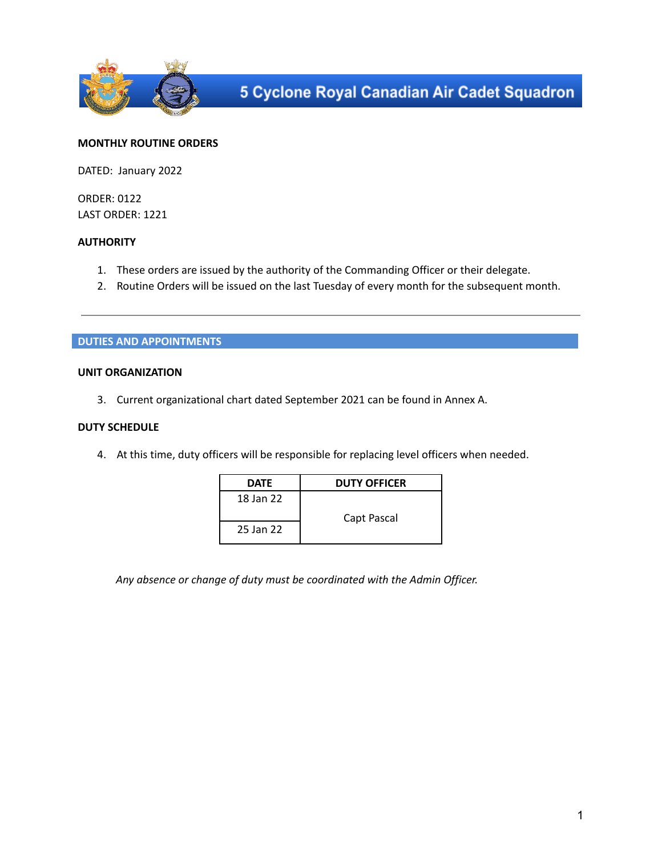

# **MONTHLY ROUTINE ORDERS**

DATED: January 2022

# ORDER: 0122 LAST ORDER: 1221

# **AUTHORITY**

- 1. These orders are issued by the authority of the Commanding Officer or their delegate.
- 2. Routine Orders will be issued on the last Tuesday of every month for the subsequent month.

#### **DUTIES AND APPOINTMENTS**

# **UNIT ORGANIZATION**

3. Current organizational chart dated September 2021 can be found in Annex A.

#### **DUTY SCHEDULE**

4. At this time, duty officers will be responsible for replacing level officers when needed.

| <b>DATE</b> | <b>DUTY OFFICER</b> |  |  |
|-------------|---------------------|--|--|
| 18 Jan 22   |                     |  |  |
|             | Capt Pascal         |  |  |
| 25 Jan 22   |                     |  |  |

*Any absence or change of duty must be coordinated with the Admin Officer.*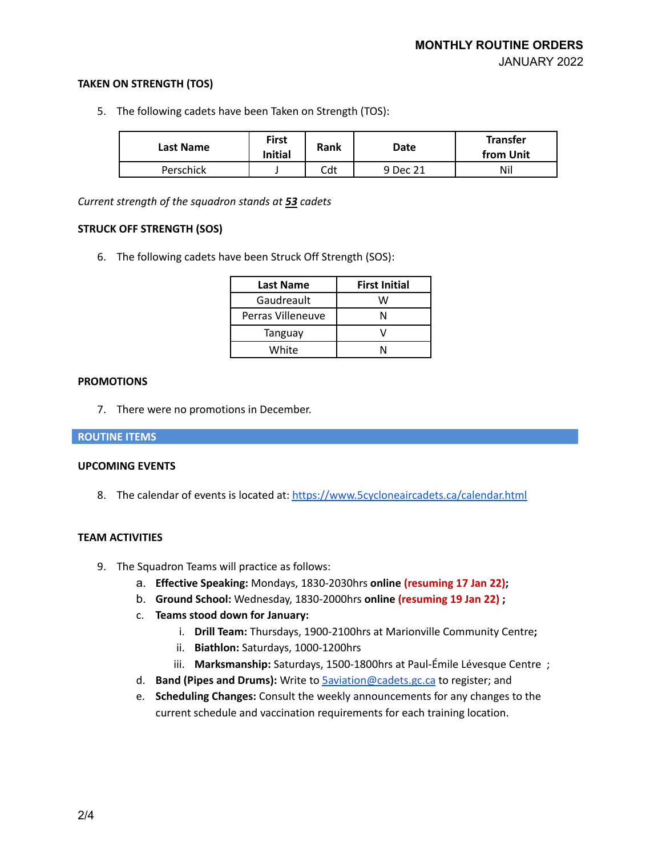# **TAKEN ON STRENGTH (TOS)**

5. The following cadets have been Taken on Strength (TOS):

| Last Name | <b>First</b><br>Initial | Rank | Date     | <b>Transfer</b><br>from Unit |
|-----------|-------------------------|------|----------|------------------------------|
| Perschick |                         | Cdt  | 9 Dec 21 | Nil                          |

*Current strength of the squadron stands at 53 cadets*

# **STRUCK OFF STRENGTH (SOS)**

6. The following cadets have been Struck Off Strength (SOS):

| <b>Last Name</b>  | <b>First Initial</b> |  |
|-------------------|----------------------|--|
| Gaudreault        | w                    |  |
| Perras Villeneuve | N                    |  |
| <b>Tanguay</b>    |                      |  |
| White             |                      |  |

#### **PROMOTIONS**

7. There were no promotions in December.

#### **ROUTINE ITEMS**

#### **UPCOMING EVENTS**

8. The calendar of events is located at: <https://www.5cycloneaircadets.ca/calendar.html>

# **TEAM ACTIVITIES**

- 9. The Squadron Teams will practice as follows:
	- a. **Effective Speaking:** Mondays, 1830-2030hrs **online (resuming 17 Jan 22);**
	- b. **Ground School:** Wednesday, 1830-2000hrs **online (resuming 19 Jan 22) ;**
	- c. **Teams stood down for January:**
		- i. **Drill Team:** Thursdays, 1900-2100hrs at Marionville Community Centre**;**
		- ii. **Biathlon:** Saturdays, 1000-1200hrs
		- iii. **Marksmanship:** Saturdays, 1500-1800hrs at Paul-Émile Lévesque Centre ;
	- d. **Band (Pipes and Drums):** Write to [5aviation@cadets.gc.ca](mailto:5aviation@cadets.gc.ca) to register; and
	- e. **Scheduling Changes:** Consult the weekly announcements for any changes to the current schedule and vaccination requirements for each training location.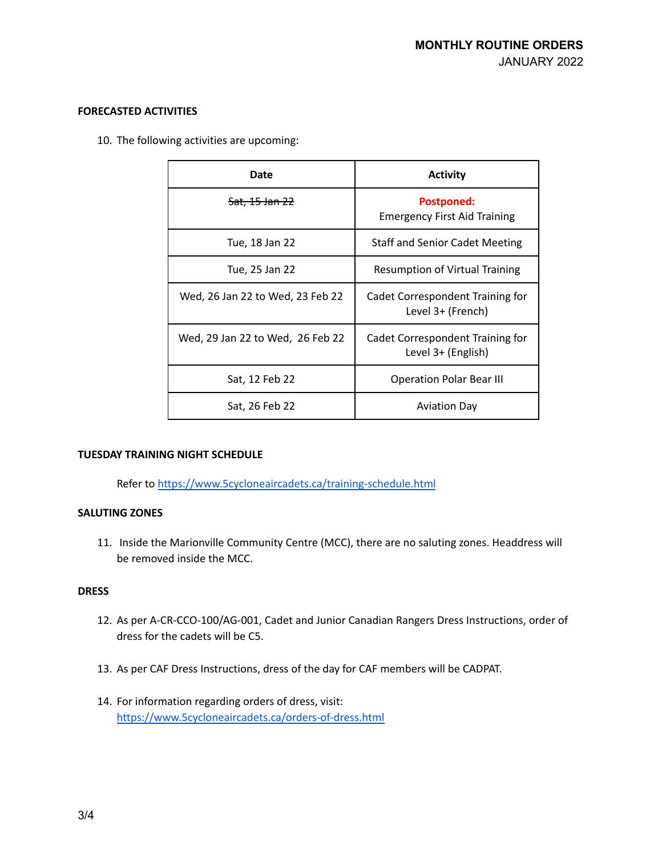#### **FORECASTED ACTIVITIES**

10. The following activities are upcoming:

| Date                             | <b>Activity</b>                                          |  |
|----------------------------------|----------------------------------------------------------|--|
| <del>Sat, 15 Jan 22</del>        | <b>Postponed:</b><br><b>Emergency First Aid Training</b> |  |
| Tue, 18 Jan 22                   | <b>Staff and Senior Cadet Meeting</b>                    |  |
| Tue, 25 Jan 22                   | Resumption of Virtual Training                           |  |
| Wed, 26 Jan 22 to Wed, 23 Feb 22 | Cadet Correspondent Training for<br>Level 3+ (French)    |  |
| Wed, 29 Jan 22 to Wed, 26 Feb 22 | Cadet Correspondent Training for<br>Level 3+ (English)   |  |
| Sat, 12 Feb 22                   | <b>Operation Polar Bear III</b>                          |  |
| Sat, 26 Feb 22                   | <b>Aviation Day</b>                                      |  |

# **TUESDAY TRAINING NIGHT SCHEDULE**

Refer to <https://www.5cycloneaircadets.ca/training-schedule.html>

#### **SALUTING ZONES**

11. Inside the Marionville Community Centre (MCC), there are no saluting zones. Headdress will be removed inside the MCC.

#### **DRESS**

- 12. As per A-CR-CCO-100/AG-001, Cadet and Junior Canadian Rangers Dress Instructions, order of dress for the cadets will be C5.
- 13. As per CAF Dress Instructions, dress of the day for CAF members will be CADPAT.
- 14. For information regarding orders of dress, visit: <https://www.5cycloneaircadets.ca/orders-of-dress.html>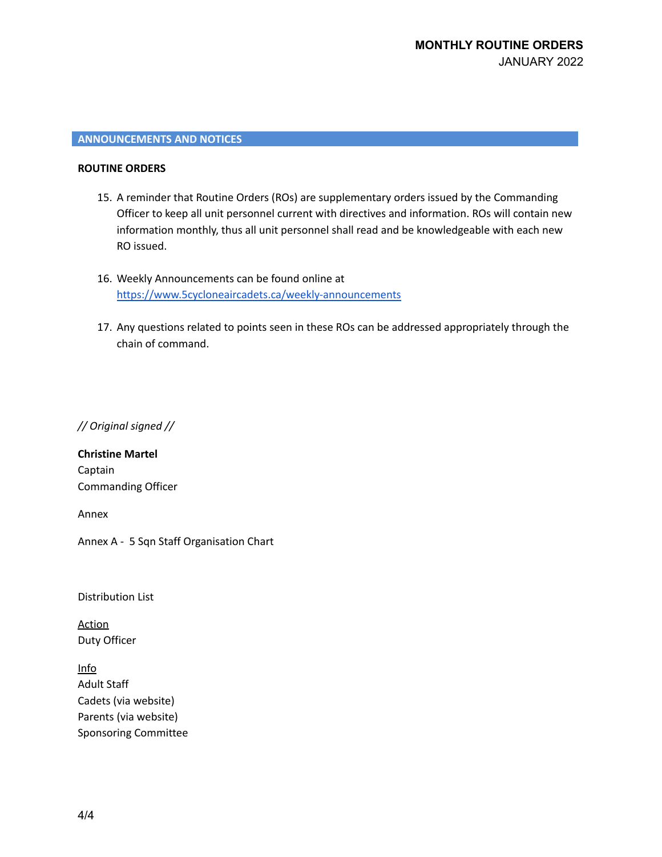#### **ANNOUNCEMENTS AND NOTICES**

#### **ROUTINE ORDERS**

- 15. A reminder that Routine Orders (ROs) are supplementary orders issued by the Commanding Officer to keep all unit personnel current with directives and information. ROs will contain new information monthly, thus all unit personnel shall read and be knowledgeable with each new RO issued.
- 16. Weekly Announcements can be found online at <https://www.5cycloneaircadets.ca/weekly-announcements>
- 17. Any questions related to points seen in these ROs can be addressed appropriately through the chain of command.

*// Original signed //*

**Christine Martel** Captain Commanding Officer

Annex

Annex A - 5 Sqn Staff Organisation Chart

Distribution List

**Action** Duty Officer

Info Adult Staff Cadets (via website) Parents (via website) Sponsoring Committee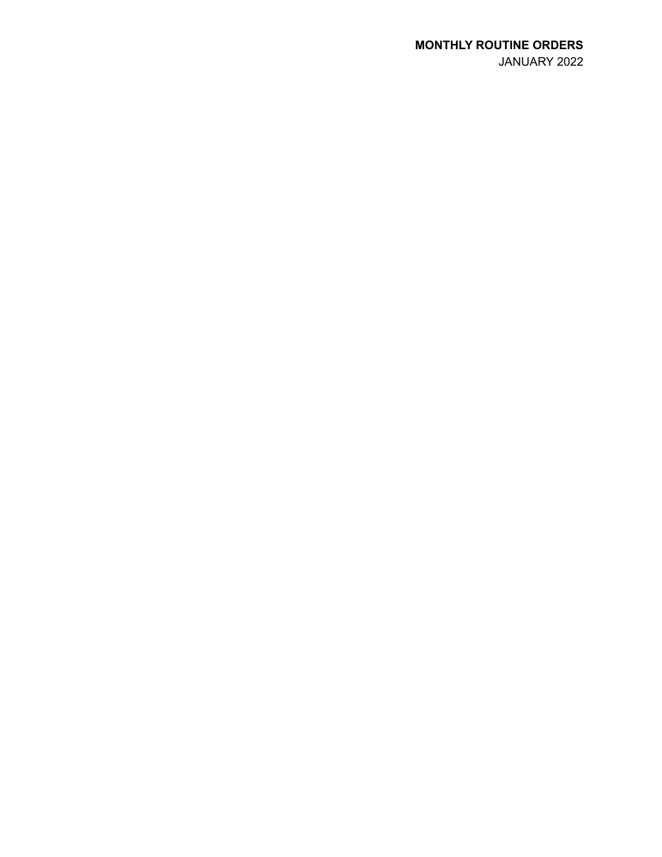# **MONTHLY ROUTINE ORDERS**

JANUARY 2022